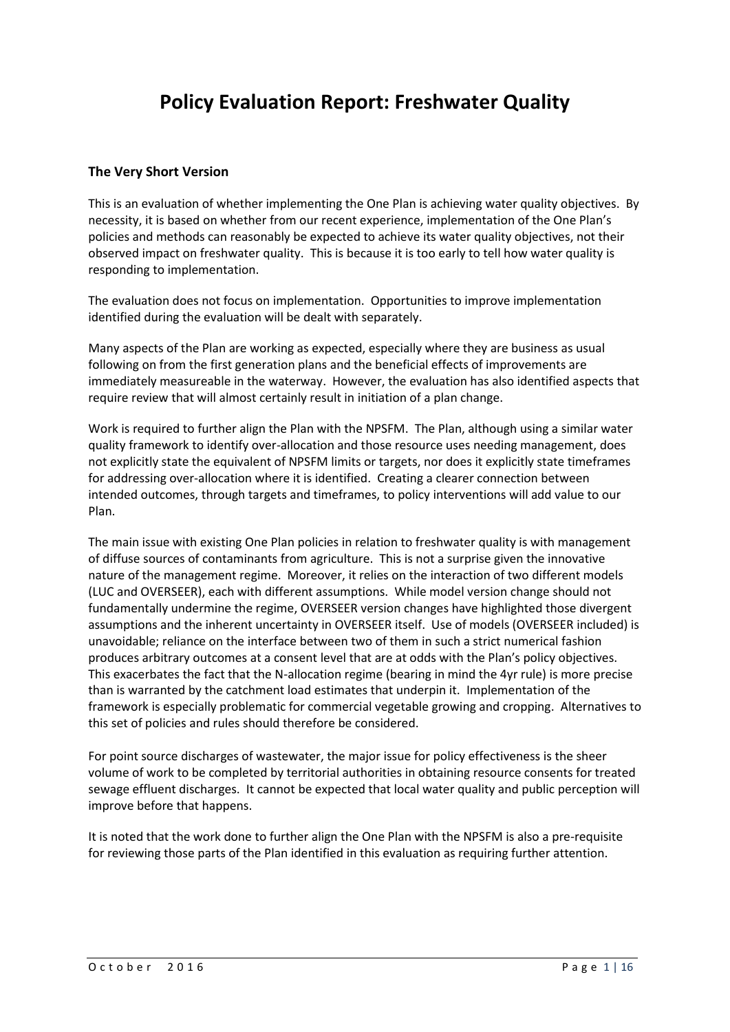# **Policy Evaluation Report: Freshwater Quality**

#### **The Very Short Version**

This is an evaluation of whether implementing the One Plan is achieving water quality objectives. By necessity, it is based on whether from our recent experience, implementation of the One Plan's policies and methods can reasonably be expected to achieve its water quality objectives, not their observed impact on freshwater quality. This is because it is too early to tell how water quality is responding to implementation.

The evaluation does not focus on implementation. Opportunities to improve implementation identified during the evaluation will be dealt with separately.

Many aspects of the Plan are working as expected, especially where they are business as usual following on from the first generation plans and the beneficial effects of improvements are immediately measureable in the waterway. However, the evaluation has also identified aspects that require review that will almost certainly result in initiation of a plan change.

Work is required to further align the Plan with the NPSFM. The Plan, although using a similar water quality framework to identify over-allocation and those resource uses needing management, does not explicitly state the equivalent of NPSFM limits or targets, nor does it explicitly state timeframes for addressing over-allocation where it is identified. Creating a clearer connection between intended outcomes, through targets and timeframes, to policy interventions will add value to our Plan.

The main issue with existing One Plan policies in relation to freshwater quality is with management of diffuse sources of contaminants from agriculture. This is not a surprise given the innovative nature of the management regime. Moreover, it relies on the interaction of two different models (LUC and OVERSEER), each with different assumptions. While model version change should not fundamentally undermine the regime, OVERSEER version changes have highlighted those divergent assumptions and the inherent uncertainty in OVERSEER itself. Use of models (OVERSEER included) is unavoidable; reliance on the interface between two of them in such a strict numerical fashion produces arbitrary outcomes at a consent level that are at odds with the Plan's policy objectives. This exacerbates the fact that the N-allocation regime (bearing in mind the 4yr rule) is more precise than is warranted by the catchment load estimates that underpin it. Implementation of the framework is especially problematic for commercial vegetable growing and cropping. Alternatives to this set of policies and rules should therefore be considered.

For point source discharges of wastewater, the major issue for policy effectiveness is the sheer volume of work to be completed by territorial authorities in obtaining resource consents for treated sewage effluent discharges. It cannot be expected that local water quality and public perception will improve before that happens.

It is noted that the work done to further align the One Plan with the NPSFM is also a pre-requisite for reviewing those parts of the Plan identified in this evaluation as requiring further attention.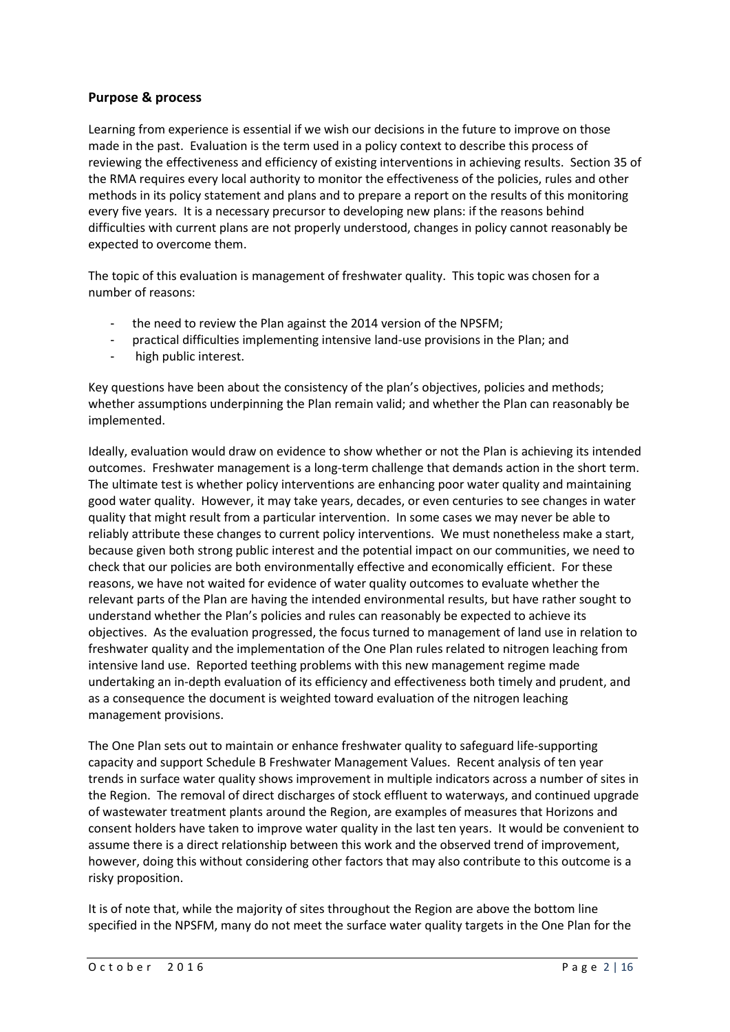#### **Purpose & process**

Learning from experience is essential if we wish our decisions in the future to improve on those made in the past. Evaluation is the term used in a policy context to describe this process of reviewing the effectiveness and efficiency of existing interventions in achieving results. Section 35 of the RMA requires every local authority to monitor the effectiveness of the policies, rules and other methods in its policy statement and plans and to prepare a report on the results of this monitoring every five years. It is a necessary precursor to developing new plans: if the reasons behind difficulties with current plans are not properly understood, changes in policy cannot reasonably be expected to overcome them.

The topic of this evaluation is management of freshwater quality. This topic was chosen for a number of reasons:

- the need to review the Plan against the 2014 version of the NPSFM;
- practical difficulties implementing intensive land-use provisions in the Plan; and
- high public interest.

Key questions have been about the consistency of the plan's objectives, policies and methods; whether assumptions underpinning the Plan remain valid; and whether the Plan can reasonably be implemented.

Ideally, evaluation would draw on evidence to show whether or not the Plan is achieving its intended outcomes. Freshwater management is a long-term challenge that demands action in the short term. The ultimate test is whether policy interventions are enhancing poor water quality and maintaining good water quality. However, it may take years, decades, or even centuries to see changes in water quality that might result from a particular intervention. In some cases we may never be able to reliably attribute these changes to current policy interventions. We must nonetheless make a start, because given both strong public interest and the potential impact on our communities, we need to check that our policies are both environmentally effective and economically efficient. For these reasons, we have not waited for evidence of water quality outcomes to evaluate whether the relevant parts of the Plan are having the intended environmental results, but have rather sought to understand whether the Plan's policies and rules can reasonably be expected to achieve its objectives. As the evaluation progressed, the focus turned to management of land use in relation to freshwater quality and the implementation of the One Plan rules related to nitrogen leaching from intensive land use. Reported teething problems with this new management regime made undertaking an in-depth evaluation of its efficiency and effectiveness both timely and prudent, and as a consequence the document is weighted toward evaluation of the nitrogen leaching management provisions.

The One Plan sets out to maintain or enhance freshwater quality to safeguard life-supporting capacity and support Schedule B Freshwater Management Values. Recent analysis of ten year trends in surface water quality shows improvement in multiple indicators across a number of sites in the Region. The removal of direct discharges of stock effluent to waterways, and continued upgrade of wastewater treatment plants around the Region, are examples of measures that Horizons and consent holders have taken to improve water quality in the last ten years. It would be convenient to assume there is a direct relationship between this work and the observed trend of improvement, however, doing this without considering other factors that may also contribute to this outcome is a risky proposition.

It is of note that, while the majority of sites throughout the Region are above the bottom line specified in the NPSFM, many do not meet the surface water quality targets in the One Plan for the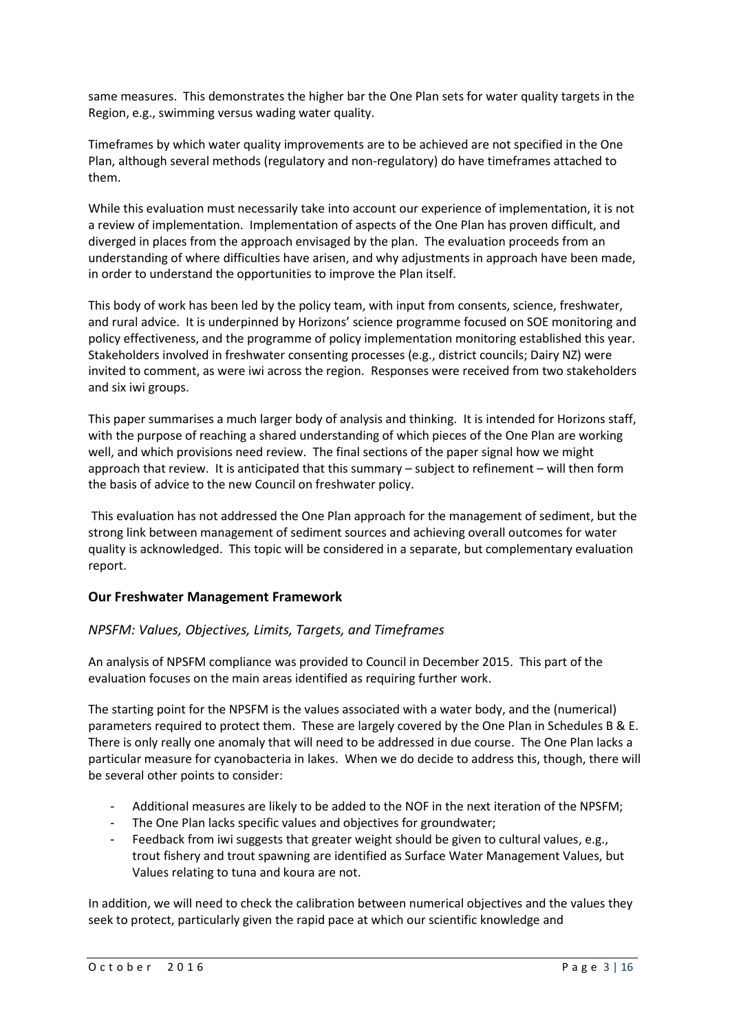same measures. This demonstrates the higher bar the One Plan sets for water quality targets in the Region, e.g., swimming versus wading water quality.

Timeframes by which water quality improvements are to be achieved are not specified in the One Plan, although several methods (regulatory and non-regulatory) do have timeframes attached to them.

While this evaluation must necessarily take into account our experience of implementation, it is not a review of implementation. Implementation of aspects of the One Plan has proven difficult, and diverged in places from the approach envisaged by the plan. The evaluation proceeds from an understanding of where difficulties have arisen, and why adjustments in approach have been made, in order to understand the opportunities to improve the Plan itself.

This body of work has been led by the policy team, with input from consents, science, freshwater, and rural advice. It is underpinned by Horizons' science programme focused on SOE monitoring and policy effectiveness, and the programme of policy implementation monitoring established this year. Stakeholders involved in freshwater consenting processes (e.g., district councils; Dairy NZ) were invited to comment, as were iwi across the region. Responses were received from two stakeholders and six iwi groups.

This paper summarises a much larger body of analysis and thinking. It is intended for Horizons staff, with the purpose of reaching a shared understanding of which pieces of the One Plan are working well, and which provisions need review. The final sections of the paper signal how we might approach that review. It is anticipated that this summary – subject to refinement – will then form the basis of advice to the new Council on freshwater policy.

This evaluation has not addressed the One Plan approach for the management of sediment, but the strong link between management of sediment sources and achieving overall outcomes for water quality is acknowledged. This topic will be considered in a separate, but complementary evaluation report.

#### **Our Freshwater Management Framework**

#### *NPSFM: Values, Objectives, Limits, Targets, and Timeframes*

An analysis of NPSFM compliance was provided to Council in December 2015. This part of the evaluation focuses on the main areas identified as requiring further work.

The starting point for the NPSFM is the values associated with a water body, and the (numerical) parameters required to protect them. These are largely covered by the One Plan in Schedules B & E. There is only really one anomaly that will need to be addressed in due course. The One Plan lacks a particular measure for cyanobacteria in lakes. When we do decide to address this, though, there will be several other points to consider:

- Additional measures are likely to be added to the NOF in the next iteration of the NPSFM;
- The One Plan lacks specific values and objectives for groundwater;
- Feedback from iwi suggests that greater weight should be given to cultural values, e.g., trout fishery and trout spawning are identified as Surface Water Management Values, but Values relating to tuna and koura are not.

In addition, we will need to check the calibration between numerical objectives and the values they seek to protect, particularly given the rapid pace at which our scientific knowledge and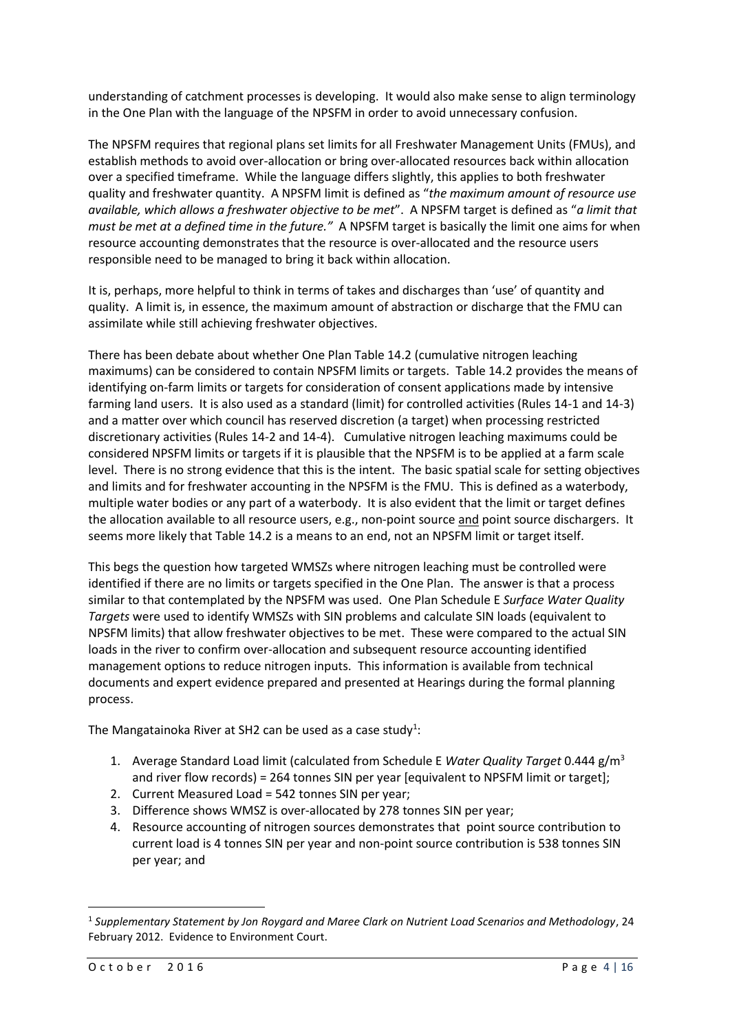understanding of catchment processes is developing. It would also make sense to align terminology in the One Plan with the language of the NPSFM in order to avoid unnecessary confusion.

The NPSFM requires that regional plans set limits for all Freshwater Management Units (FMUs), and establish methods to avoid over-allocation or bring over-allocated resources back within allocation over a specified timeframe. While the language differs slightly, this applies to both freshwater quality and freshwater quantity. A NPSFM limit is defined as "*the maximum amount of resource use available, which allows a freshwater objective to be met*". A NPSFM target is defined as "*a limit that must be met at a defined time in the future."* A NPSFM target is basically the limit one aims for when resource accounting demonstrates that the resource is over-allocated and the resource users responsible need to be managed to bring it back within allocation.

It is, perhaps, more helpful to think in terms of takes and discharges than 'use' of quantity and quality. A limit is, in essence, the maximum amount of abstraction or discharge that the FMU can assimilate while still achieving freshwater objectives.

There has been debate about whether One Plan Table 14.2 (cumulative nitrogen leaching maximums) can be considered to contain NPSFM limits or targets. Table 14.2 provides the means of identifying on-farm limits or targets for consideration of consent applications made by intensive farming land users. It is also used as a standard (limit) for controlled activities (Rules 14-1 and 14-3) and a matter over which council has reserved discretion (a target) when processing restricted discretionary activities (Rules 14-2 and 14-4). Cumulative nitrogen leaching maximums could be considered NPSFM limits or targets if it is plausible that the NPSFM is to be applied at a farm scale level. There is no strong evidence that this is the intent. The basic spatial scale for setting objectives and limits and for freshwater accounting in the NPSFM is the FMU. This is defined as a waterbody, multiple water bodies or any part of a waterbody. It is also evident that the limit or target defines the allocation available to all resource users, e.g., non-point source and point source dischargers. It seems more likely that Table 14.2 is a means to an end, not an NPSFM limit or target itself.

This begs the question how targeted WMSZs where nitrogen leaching must be controlled were identified if there are no limits or targets specified in the One Plan. The answer is that a process similar to that contemplated by the NPSFM was used. One Plan Schedule E *Surface Water Quality Targets* were used to identify WMSZs with SIN problems and calculate SIN loads (equivalent to NPSFM limits) that allow freshwater objectives to be met. These were compared to the actual SIN loads in the river to confirm over-allocation and subsequent resource accounting identified management options to reduce nitrogen inputs. This information is available from technical documents and expert evidence prepared and presented at Hearings during the formal planning process.

The Mangatainoka River at SH2 can be used as a case study<sup>1</sup>:

- 1. Average Standard Load limit (calculated from Schedule E *Water Quality Target* 0.444 g/m<sup>3</sup> and river flow records) = 264 tonnes SIN per year [equivalent to NPSFM limit or target];
- 2. Current Measured Load = 542 tonnes SIN per year;
- 3. Difference shows WMSZ is over-allocated by 278 tonnes SIN per year;
- 4. Resource accounting of nitrogen sources demonstrates that point source contribution to current load is 4 tonnes SIN per year and non-point source contribution is 538 tonnes SIN per year; and

1

<sup>1</sup> *Supplementary Statement by Jon Roygard and Maree Clark on Nutrient Load Scenarios and Methodology*, 24 February 2012. Evidence to Environment Court.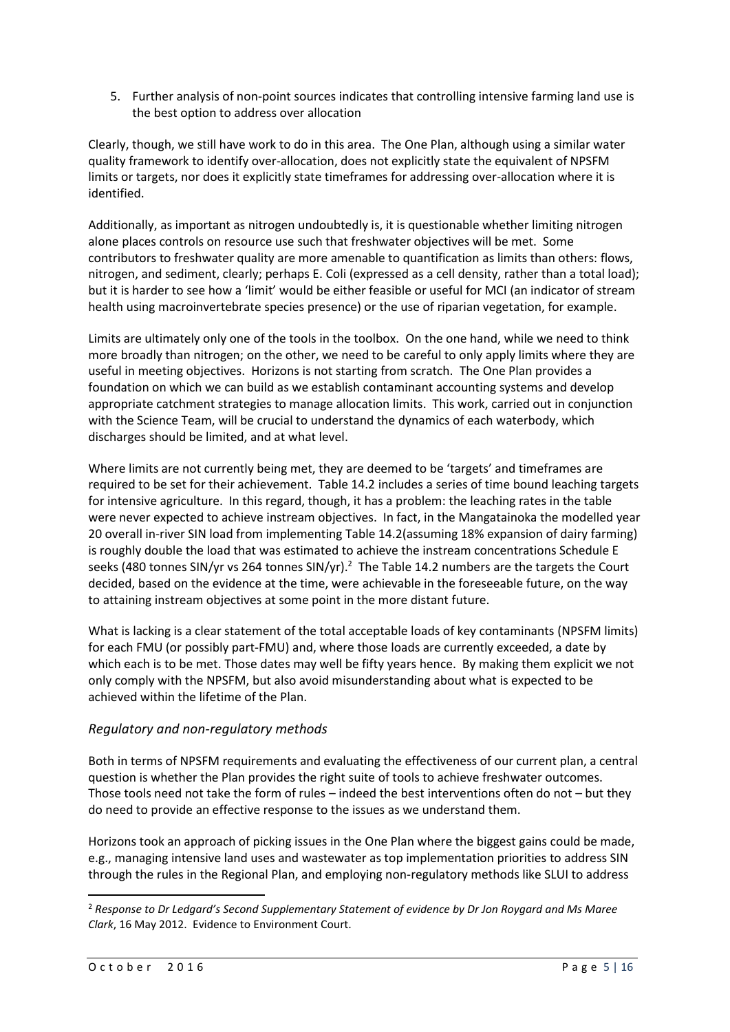5. Further analysis of non-point sources indicates that controlling intensive farming land use is the best option to address over allocation

Clearly, though, we still have work to do in this area. The One Plan, although using a similar water quality framework to identify over-allocation, does not explicitly state the equivalent of NPSFM limits or targets, nor does it explicitly state timeframes for addressing over-allocation where it is identified.

Additionally, as important as nitrogen undoubtedly is, it is questionable whether limiting nitrogen alone places controls on resource use such that freshwater objectives will be met. Some contributors to freshwater quality are more amenable to quantification as limits than others: flows, nitrogen, and sediment, clearly; perhaps E. Coli (expressed as a cell density, rather than a total load); but it is harder to see how a 'limit' would be either feasible or useful for MCI (an indicator of stream health using macroinvertebrate species presence) or the use of riparian vegetation, for example.

Limits are ultimately only one of the tools in the toolbox. On the one hand, while we need to think more broadly than nitrogen; on the other, we need to be careful to only apply limits where they are useful in meeting objectives. Horizons is not starting from scratch. The One Plan provides a foundation on which we can build as we establish contaminant accounting systems and develop appropriate catchment strategies to manage allocation limits. This work, carried out in conjunction with the Science Team, will be crucial to understand the dynamics of each waterbody, which discharges should be limited, and at what level.

Where limits are not currently being met, they are deemed to be 'targets' and timeframes are required to be set for their achievement. Table 14.2 includes a series of time bound leaching targets for intensive agriculture. In this regard, though, it has a problem: the leaching rates in the table were never expected to achieve instream objectives. In fact, in the Mangatainoka the modelled year 20 overall in-river SIN load from implementing Table 14.2(assuming 18% expansion of dairy farming) is roughly double the load that was estimated to achieve the instream concentrations Schedule E seeks (480 tonnes SIN/yr vs 264 tonnes SIN/yr).<sup>2</sup> The Table 14.2 numbers are the targets the Court decided, based on the evidence at the time, were achievable in the foreseeable future, on the way to attaining instream objectives at some point in the more distant future.

What is lacking is a clear statement of the total acceptable loads of key contaminants (NPSFM limits) for each FMU (or possibly part-FMU) and, where those loads are currently exceeded, a date by which each is to be met. Those dates may well be fifty years hence. By making them explicit we not only comply with the NPSFM, but also avoid misunderstanding about what is expected to be achieved within the lifetime of the Plan.

#### *Regulatory and non-regulatory methods*

Both in terms of NPSFM requirements and evaluating the effectiveness of our current plan, a central question is whether the Plan provides the right suite of tools to achieve freshwater outcomes. Those tools need not take the form of rules – indeed the best interventions often do not – but they do need to provide an effective response to the issues as we understand them.

Horizons took an approach of picking issues in the One Plan where the biggest gains could be made, e.g., managing intensive land uses and wastewater as top implementation priorities to address SIN through the rules in the Regional Plan, and employing non-regulatory methods like SLUI to address

**.** 

<sup>2</sup> *Response to Dr Ledgard's Second Supplementary Statement of evidence by Dr Jon Roygard and Ms Maree Clark*, 16 May 2012. Evidence to Environment Court.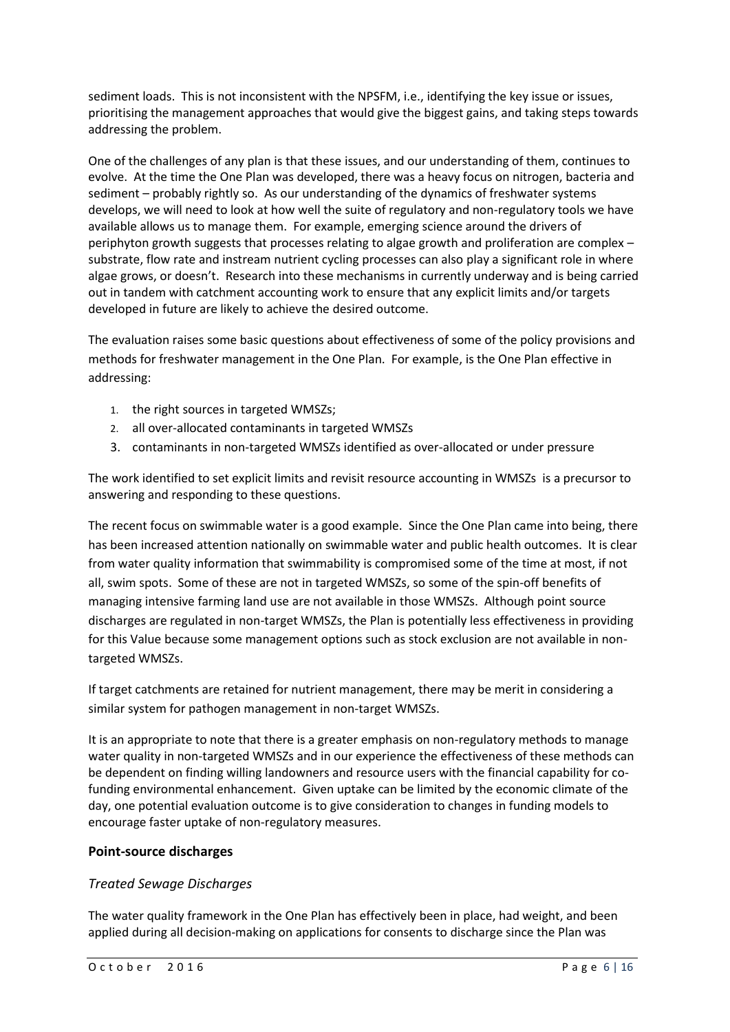sediment loads. This is not inconsistent with the NPSFM, i.e., identifying the key issue or issues, prioritising the management approaches that would give the biggest gains, and taking steps towards addressing the problem.

One of the challenges of any plan is that these issues, and our understanding of them, continues to evolve. At the time the One Plan was developed, there was a heavy focus on nitrogen, bacteria and sediment – probably rightly so. As our understanding of the dynamics of freshwater systems develops, we will need to look at how well the suite of regulatory and non-regulatory tools we have available allows us to manage them. For example, emerging science around the drivers of periphyton growth suggests that processes relating to algae growth and proliferation are complex – substrate, flow rate and instream nutrient cycling processes can also play a significant role in where algae grows, or doesn't. Research into these mechanisms in currently underway and is being carried out in tandem with catchment accounting work to ensure that any explicit limits and/or targets developed in future are likely to achieve the desired outcome.

The evaluation raises some basic questions about effectiveness of some of the policy provisions and methods for freshwater management in the One Plan. For example, is the One Plan effective in addressing:

- 1. the right sources in targeted WMSZs;
- 2. all over-allocated contaminants in targeted WMSZs
- 3. contaminants in non-targeted WMSZs identified as over-allocated or under pressure

The work identified to set explicit limits and revisit resource accounting in WMSZs is a precursor to answering and responding to these questions.

The recent focus on swimmable water is a good example. Since the One Plan came into being, there has been increased attention nationally on swimmable water and public health outcomes. It is clear from water quality information that swimmability is compromised some of the time at most, if not all, swim spots. Some of these are not in targeted WMSZs, so some of the spin-off benefits of managing intensive farming land use are not available in those WMSZs. Although point source discharges are regulated in non-target WMSZs, the Plan is potentially less effectiveness in providing for this Value because some management options such as stock exclusion are not available in nontargeted WMSZs.

If target catchments are retained for nutrient management, there may be merit in considering a similar system for pathogen management in non-target WMSZs.

It is an appropriate to note that there is a greater emphasis on non-regulatory methods to manage water quality in non-targeted WMSZs and in our experience the effectiveness of these methods can be dependent on finding willing landowners and resource users with the financial capability for cofunding environmental enhancement. Given uptake can be limited by the economic climate of the day, one potential evaluation outcome is to give consideration to changes in funding models to encourage faster uptake of non-regulatory measures.

#### **Point-source discharges**

#### *Treated Sewage Discharges*

The water quality framework in the One Plan has effectively been in place, had weight, and been applied during all decision-making on applications for consents to discharge since the Plan was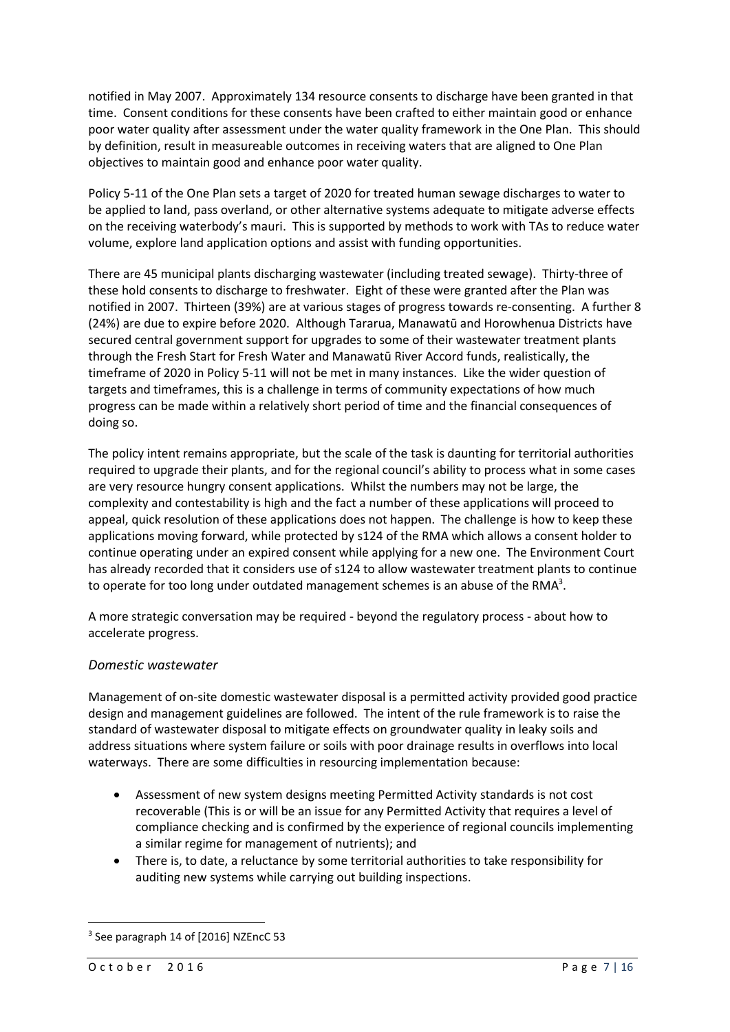notified in May 2007. Approximately 134 resource consents to discharge have been granted in that time. Consent conditions for these consents have been crafted to either maintain good or enhance poor water quality after assessment under the water quality framework in the One Plan. This should by definition, result in measureable outcomes in receiving waters that are aligned to One Plan objectives to maintain good and enhance poor water quality.

Policy 5-11 of the One Plan sets a target of 2020 for treated human sewage discharges to water to be applied to land, pass overland, or other alternative systems adequate to mitigate adverse effects on the receiving waterbody's mauri. This is supported by methods to work with TAs to reduce water volume, explore land application options and assist with funding opportunities.

There are 45 municipal plants discharging wastewater (including treated sewage). Thirty-three of these hold consents to discharge to freshwater. Eight of these were granted after the Plan was notified in 2007. Thirteen (39%) are at various stages of progress towards re-consenting. A further 8 (24%) are due to expire before 2020. Although Tararua, Manawatū and Horowhenua Districts have secured central government support for upgrades to some of their wastewater treatment plants through the Fresh Start for Fresh Water and Manawatū River Accord funds, realistically, the timeframe of 2020 in Policy 5-11 will not be met in many instances. Like the wider question of targets and timeframes, this is a challenge in terms of community expectations of how much progress can be made within a relatively short period of time and the financial consequences of doing so.

The policy intent remains appropriate, but the scale of the task is daunting for territorial authorities required to upgrade their plants, and for the regional council's ability to process what in some cases are very resource hungry consent applications. Whilst the numbers may not be large, the complexity and contestability is high and the fact a number of these applications will proceed to appeal, quick resolution of these applications does not happen. The challenge is how to keep these applications moving forward, while protected by s124 of the RMA which allows a consent holder to continue operating under an expired consent while applying for a new one. The Environment Court has already recorded that it considers use of s124 to allow wastewater treatment plants to continue to operate for too long under outdated management schemes is an abuse of the RMA<sup>3</sup>.

A more strategic conversation may be required - beyond the regulatory process - about how to accelerate progress.

#### *Domestic wastewater*

Management of on-site domestic wastewater disposal is a permitted activity provided good practice design and management guidelines are followed. The intent of the rule framework is to raise the standard of wastewater disposal to mitigate effects on groundwater quality in leaky soils and address situations where system failure or soils with poor drainage results in overflows into local waterways. There are some difficulties in resourcing implementation because:

- Assessment of new system designs meeting Permitted Activity standards is not cost recoverable (This is or will be an issue for any Permitted Activity that requires a level of compliance checking and is confirmed by the experience of regional councils implementing a similar regime for management of nutrients); and
- There is, to date, a reluctance by some territorial authorities to take responsibility for auditing new systems while carrying out building inspections.

**.** 

<sup>3</sup> See paragraph 14 of [2016] NZEncC 53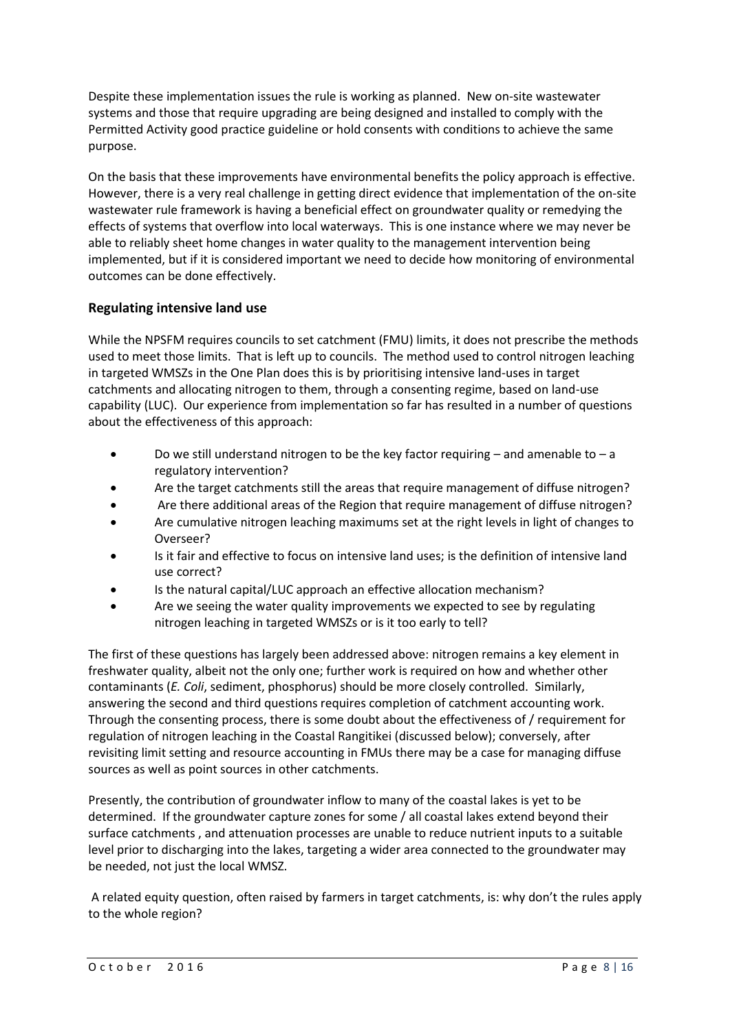Despite these implementation issues the rule is working as planned. New on-site wastewater systems and those that require upgrading are being designed and installed to comply with the Permitted Activity good practice guideline or hold consents with conditions to achieve the same purpose.

On the basis that these improvements have environmental benefits the policy approach is effective. However, there is a very real challenge in getting direct evidence that implementation of the on-site wastewater rule framework is having a beneficial effect on groundwater quality or remedying the effects of systems that overflow into local waterways. This is one instance where we may never be able to reliably sheet home changes in water quality to the management intervention being implemented, but if it is considered important we need to decide how monitoring of environmental outcomes can be done effectively.

#### **Regulating intensive land use**

While the NPSFM requires councils to set catchment (FMU) limits, it does not prescribe the methods used to meet those limits. That is left up to councils. The method used to control nitrogen leaching in targeted WMSZs in the One Plan does this is by prioritising intensive land-uses in target catchments and allocating nitrogen to them, through a consenting regime, based on land-use capability (LUC). Our experience from implementation so far has resulted in a number of questions about the effectiveness of this approach:

- Do we still understand nitrogen to be the key factor requiring and amenable to a regulatory intervention?
- Are the target catchments still the areas that require management of diffuse nitrogen?
- Are there additional areas of the Region that require management of diffuse nitrogen?
- Are cumulative nitrogen leaching maximums set at the right levels in light of changes to Overseer?
- Is it fair and effective to focus on intensive land uses; is the definition of intensive land use correct?
- Is the natural capital/LUC approach an effective allocation mechanism?
- Are we seeing the water quality improvements we expected to see by regulating nitrogen leaching in targeted WMSZs or is it too early to tell?

The first of these questions has largely been addressed above: nitrogen remains a key element in freshwater quality, albeit not the only one; further work is required on how and whether other contaminants (*E. Coli*, sediment, phosphorus) should be more closely controlled. Similarly, answering the second and third questions requires completion of catchment accounting work. Through the consenting process, there is some doubt about the effectiveness of / requirement for regulation of nitrogen leaching in the Coastal Rangitikei (discussed below); conversely, after revisiting limit setting and resource accounting in FMUs there may be a case for managing diffuse sources as well as point sources in other catchments.

Presently, the contribution of groundwater inflow to many of the coastal lakes is yet to be determined. If the groundwater capture zones for some / all coastal lakes extend beyond their surface catchments , and attenuation processes are unable to reduce nutrient inputs to a suitable level prior to discharging into the lakes, targeting a wider area connected to the groundwater may be needed, not just the local WMSZ.

A related equity question, often raised by farmers in target catchments, is: why don't the rules apply to the whole region?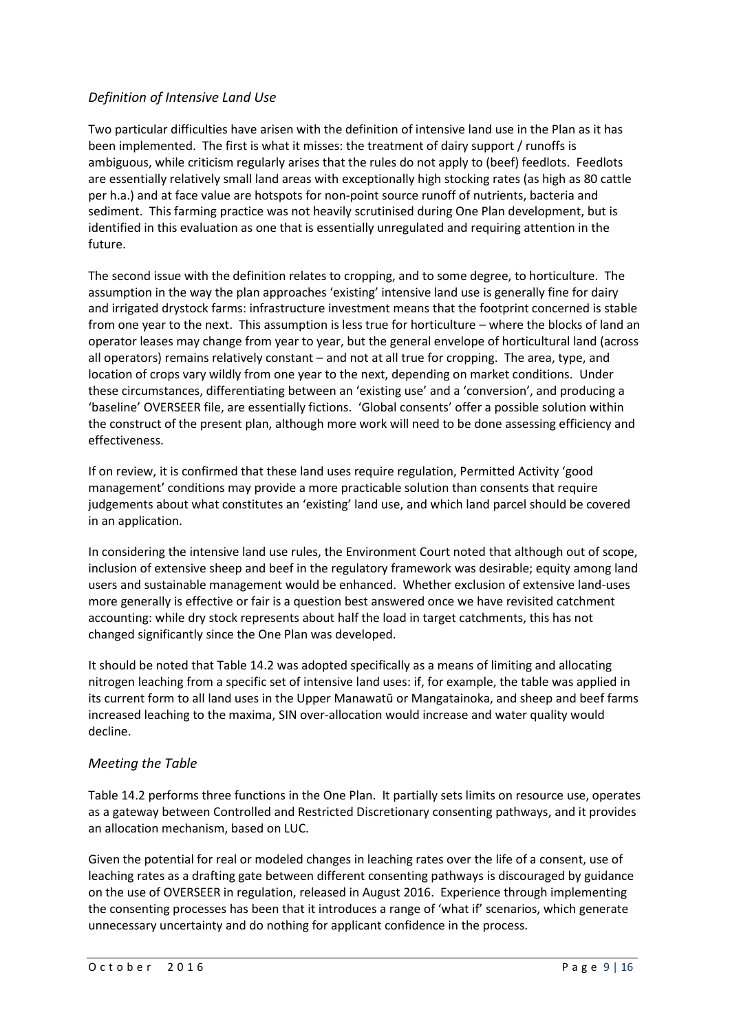### *Definition of Intensive Land Use*

Two particular difficulties have arisen with the definition of intensive land use in the Plan as it has been implemented. The first is what it misses: the treatment of dairy support / runoffs is ambiguous, while criticism regularly arises that the rules do not apply to (beef) feedlots. Feedlots are essentially relatively small land areas with exceptionally high stocking rates (as high as 80 cattle per h.a.) and at face value are hotspots for non-point source runoff of nutrients, bacteria and sediment. This farming practice was not heavily scrutinised during One Plan development, but is identified in this evaluation as one that is essentially unregulated and requiring attention in the future.

The second issue with the definition relates to cropping, and to some degree, to horticulture. The assumption in the way the plan approaches 'existing' intensive land use is generally fine for dairy and irrigated drystock farms: infrastructure investment means that the footprint concerned is stable from one year to the next. This assumption is less true for horticulture – where the blocks of land an operator leases may change from year to year, but the general envelope of horticultural land (across all operators) remains relatively constant – and not at all true for cropping. The area, type, and location of crops vary wildly from one year to the next, depending on market conditions. Under these circumstances, differentiating between an 'existing use' and a 'conversion', and producing a 'baseline' OVERSEER file, are essentially fictions. 'Global consents' offer a possible solution within the construct of the present plan, although more work will need to be done assessing efficiency and effectiveness.

If on review, it is confirmed that these land uses require regulation, Permitted Activity 'good management' conditions may provide a more practicable solution than consents that require judgements about what constitutes an 'existing' land use, and which land parcel should be covered in an application.

In considering the intensive land use rules, the Environment Court noted that although out of scope, inclusion of extensive sheep and beef in the regulatory framework was desirable; equity among land users and sustainable management would be enhanced. Whether exclusion of extensive land-uses more generally is effective or fair is a question best answered once we have revisited catchment accounting: while dry stock represents about half the load in target catchments, this has not changed significantly since the One Plan was developed.

It should be noted that Table 14.2 was adopted specifically as a means of limiting and allocating nitrogen leaching from a specific set of intensive land uses: if, for example, the table was applied in its current form to all land uses in the Upper Manawatū or Mangatainoka, and sheep and beef farms increased leaching to the maxima, SIN over-allocation would increase and water quality would decline.

#### *Meeting the Table*

Table 14.2 performs three functions in the One Plan. It partially sets limits on resource use, operates as a gateway between Controlled and Restricted Discretionary consenting pathways, and it provides an allocation mechanism, based on LUC.

Given the potential for real or modeled changes in leaching rates over the life of a consent, use of leaching rates as a drafting gate between different consenting pathways is discouraged by guidance on the use of OVERSEER in regulation, released in August 2016. Experience through implementing the consenting processes has been that it introduces a range of 'what if' scenarios, which generate unnecessary uncertainty and do nothing for applicant confidence in the process.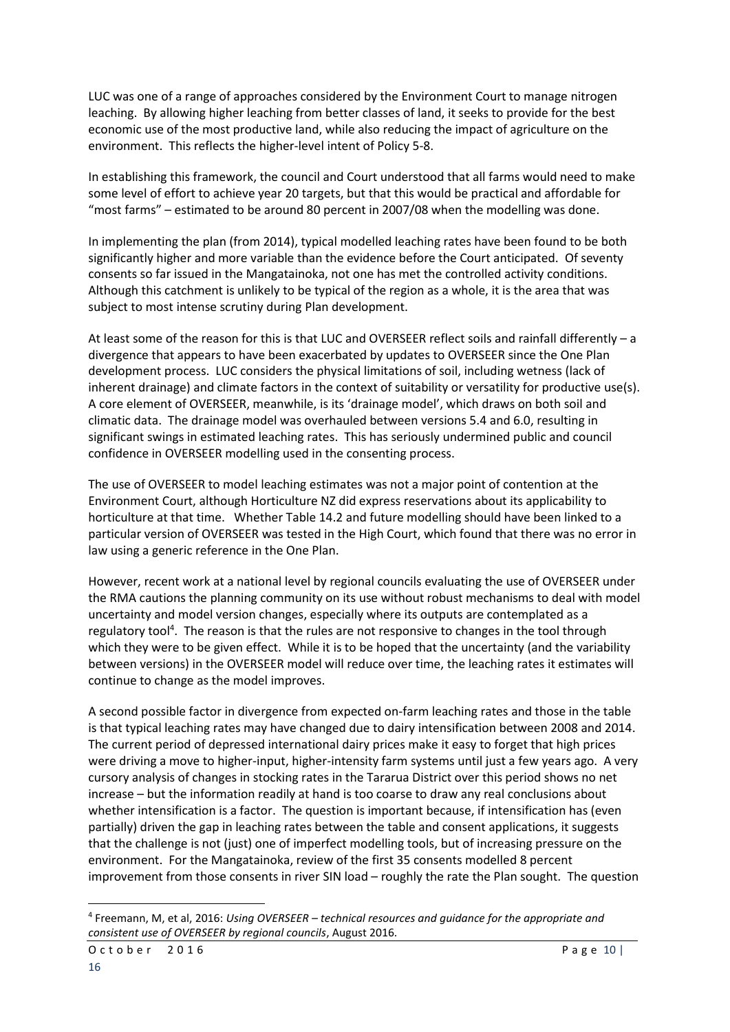LUC was one of a range of approaches considered by the Environment Court to manage nitrogen leaching. By allowing higher leaching from better classes of land, it seeks to provide for the best economic use of the most productive land, while also reducing the impact of agriculture on the environment. This reflects the higher-level intent of Policy 5-8.

In establishing this framework, the council and Court understood that all farms would need to make some level of effort to achieve year 20 targets, but that this would be practical and affordable for "most farms" – estimated to be around 80 percent in 2007/08 when the modelling was done.

In implementing the plan (from 2014), typical modelled leaching rates have been found to be both significantly higher and more variable than the evidence before the Court anticipated. Of seventy consents so far issued in the Mangatainoka, not one has met the controlled activity conditions. Although this catchment is unlikely to be typical of the region as a whole, it is the area that was subject to most intense scrutiny during Plan development.

At least some of the reason for this is that LUC and OVERSEER reflect soils and rainfall differently – a divergence that appears to have been exacerbated by updates to OVERSEER since the One Plan development process. LUC considers the physical limitations of soil, including wetness (lack of inherent drainage) and climate factors in the context of suitability or versatility for productive use(s). A core element of OVERSEER, meanwhile, is its 'drainage model', which draws on both soil and climatic data. The drainage model was overhauled between versions 5.4 and 6.0, resulting in significant swings in estimated leaching rates. This has seriously undermined public and council confidence in OVERSEER modelling used in the consenting process.

The use of OVERSEER to model leaching estimates was not a major point of contention at the Environment Court, although Horticulture NZ did express reservations about its applicability to horticulture at that time. Whether Table 14.2 and future modelling should have been linked to a particular version of OVERSEER was tested in the High Court, which found that there was no error in law using a generic reference in the One Plan.

However, recent work at a national level by regional councils evaluating the use of OVERSEER under the RMA cautions the planning community on its use without robust mechanisms to deal with model uncertainty and model version changes, especially where its outputs are contemplated as a regulatory tool<sup>4</sup>. The reason is that the rules are not responsive to changes in the tool through which they were to be given effect. While it is to be hoped that the uncertainty (and the variability between versions) in the OVERSEER model will reduce over time, the leaching rates it estimates will continue to change as the model improves.

A second possible factor in divergence from expected on-farm leaching rates and those in the table is that typical leaching rates may have changed due to dairy intensification between 2008 and 2014. The current period of depressed international dairy prices make it easy to forget that high prices were driving a move to higher-input, higher-intensity farm systems until just a few years ago. A very cursory analysis of changes in stocking rates in the Tararua District over this period shows no net increase – but the information readily at hand is too coarse to draw any real conclusions about whether intensification is a factor. The question is important because, if intensification has (even partially) driven the gap in leaching rates between the table and consent applications, it suggests that the challenge is not (just) one of imperfect modelling tools, but of increasing pressure on the environment. For the Mangatainoka, review of the first 35 consents modelled 8 percent improvement from those consents in river SIN load – roughly the rate the Plan sought. The question

1

<sup>4</sup> Freemann, M, et al, 2016: *Using OVERSEER – technical resources and guidance for the appropriate and consistent use of OVERSEER by regional councils*, August 2016.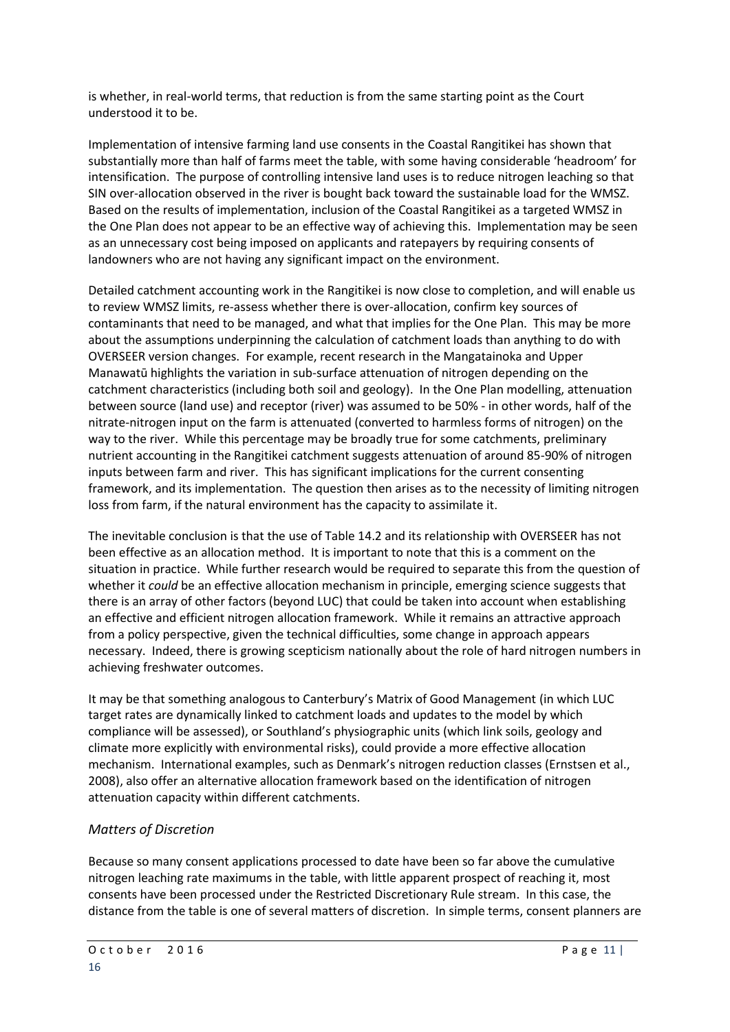is whether, in real-world terms, that reduction is from the same starting point as the Court understood it to be.

Implementation of intensive farming land use consents in the Coastal Rangitikei has shown that substantially more than half of farms meet the table, with some having considerable 'headroom' for intensification. The purpose of controlling intensive land uses is to reduce nitrogen leaching so that SIN over-allocation observed in the river is bought back toward the sustainable load for the WMSZ. Based on the results of implementation, inclusion of the Coastal Rangitikei as a targeted WMSZ in the One Plan does not appear to be an effective way of achieving this. Implementation may be seen as an unnecessary cost being imposed on applicants and ratepayers by requiring consents of landowners who are not having any significant impact on the environment.

Detailed catchment accounting work in the Rangitikei is now close to completion, and will enable us to review WMSZ limits, re-assess whether there is over-allocation, confirm key sources of contaminants that need to be managed, and what that implies for the One Plan. This may be more about the assumptions underpinning the calculation of catchment loads than anything to do with OVERSEER version changes. For example, recent research in the Mangatainoka and Upper Manawatū highlights the variation in sub-surface attenuation of nitrogen depending on the catchment characteristics (including both soil and geology). In the One Plan modelling, attenuation between source (land use) and receptor (river) was assumed to be 50% - in other words, half of the nitrate-nitrogen input on the farm is attenuated (converted to harmless forms of nitrogen) on the way to the river. While this percentage may be broadly true for some catchments, preliminary nutrient accounting in the Rangitikei catchment suggests attenuation of around 85-90% of nitrogen inputs between farm and river. This has significant implications for the current consenting framework, and its implementation. The question then arises as to the necessity of limiting nitrogen loss from farm, if the natural environment has the capacity to assimilate it.

The inevitable conclusion is that the use of Table 14.2 and its relationship with OVERSEER has not been effective as an allocation method. It is important to note that this is a comment on the situation in practice. While further research would be required to separate this from the question of whether it *could* be an effective allocation mechanism in principle, emerging science suggests that there is an array of other factors (beyond LUC) that could be taken into account when establishing an effective and efficient nitrogen allocation framework. While it remains an attractive approach from a policy perspective, given the technical difficulties, some change in approach appears necessary. Indeed, there is growing scepticism nationally about the role of hard nitrogen numbers in achieving freshwater outcomes.

It may be that something analogous to Canterbury's Matrix of Good Management (in which LUC target rates are dynamically linked to catchment loads and updates to the model by which compliance will be assessed), or Southland's physiographic units (which link soils, geology and climate more explicitly with environmental risks), could provide a more effective allocation mechanism. International examples, such as Denmark's nitrogen reduction classes (Ernstsen et al., 2008), also offer an alternative allocation framework based on the identification of nitrogen attenuation capacity within different catchments.

# *Matters of Discretion*

Because so many consent applications processed to date have been so far above the cumulative nitrogen leaching rate maximums in the table, with little apparent prospect of reaching it, most consents have been processed under the Restricted Discretionary Rule stream. In this case, the distance from the table is one of several matters of discretion. In simple terms, consent planners are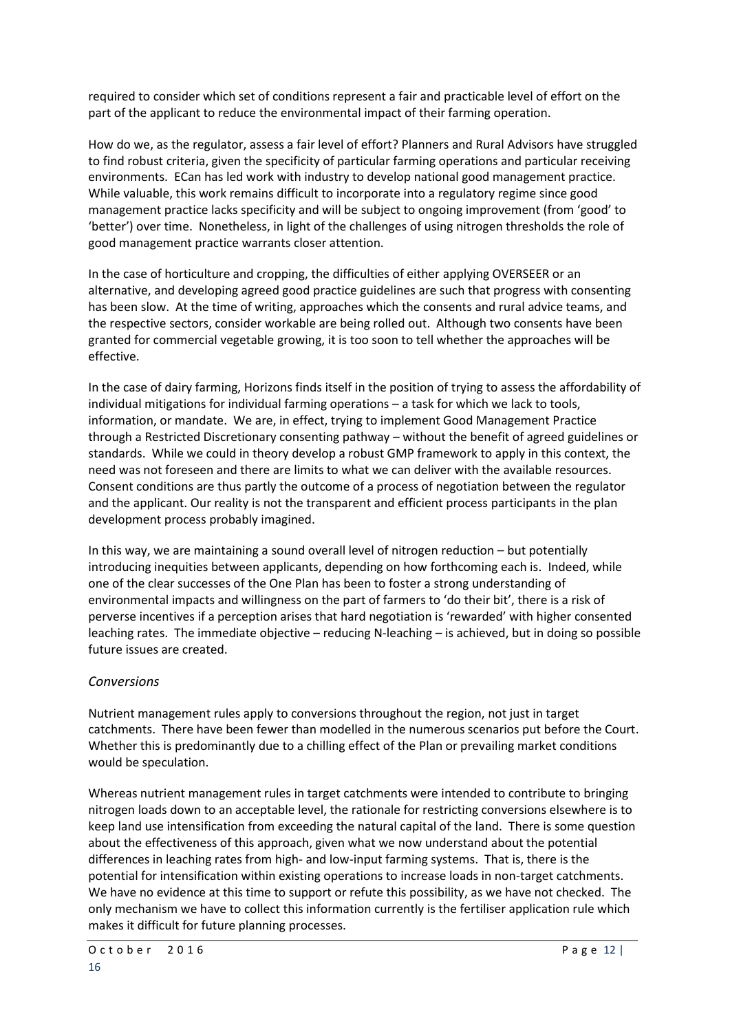required to consider which set of conditions represent a fair and practicable level of effort on the part of the applicant to reduce the environmental impact of their farming operation.

How do we, as the regulator, assess a fair level of effort? Planners and Rural Advisors have struggled to find robust criteria, given the specificity of particular farming operations and particular receiving environments. ECan has led work with industry to develop national good management practice. While valuable, this work remains difficult to incorporate into a regulatory regime since good management practice lacks specificity and will be subject to ongoing improvement (from 'good' to 'better') over time. Nonetheless, in light of the challenges of using nitrogen thresholds the role of good management practice warrants closer attention.

In the case of horticulture and cropping, the difficulties of either applying OVERSEER or an alternative, and developing agreed good practice guidelines are such that progress with consenting has been slow. At the time of writing, approaches which the consents and rural advice teams, and the respective sectors, consider workable are being rolled out. Although two consents have been granted for commercial vegetable growing, it is too soon to tell whether the approaches will be effective.

In the case of dairy farming, Horizons finds itself in the position of trying to assess the affordability of individual mitigations for individual farming operations – a task for which we lack to tools, information, or mandate. We are, in effect, trying to implement Good Management Practice through a Restricted Discretionary consenting pathway – without the benefit of agreed guidelines or standards. While we could in theory develop a robust GMP framework to apply in this context, the need was not foreseen and there are limits to what we can deliver with the available resources. Consent conditions are thus partly the outcome of a process of negotiation between the regulator and the applicant. Our reality is not the transparent and efficient process participants in the plan development process probably imagined.

In this way, we are maintaining a sound overall level of nitrogen reduction – but potentially introducing inequities between applicants, depending on how forthcoming each is. Indeed, while one of the clear successes of the One Plan has been to foster a strong understanding of environmental impacts and willingness on the part of farmers to 'do their bit', there is a risk of perverse incentives if a perception arises that hard negotiation is 'rewarded' with higher consented leaching rates. The immediate objective – reducing N-leaching – is achieved, but in doing so possible future issues are created.

# *Conversions*

Nutrient management rules apply to conversions throughout the region, not just in target catchments. There have been fewer than modelled in the numerous scenarios put before the Court. Whether this is predominantly due to a chilling effect of the Plan or prevailing market conditions would be speculation.

Whereas nutrient management rules in target catchments were intended to contribute to bringing nitrogen loads down to an acceptable level, the rationale for restricting conversions elsewhere is to keep land use intensification from exceeding the natural capital of the land. There is some question about the effectiveness of this approach, given what we now understand about the potential differences in leaching rates from high- and low-input farming systems. That is, there is the potential for intensification within existing operations to increase loads in non-target catchments. We have no evidence at this time to support or refute this possibility, as we have not checked. The only mechanism we have to collect this information currently is the fertiliser application rule which makes it difficult for future planning processes.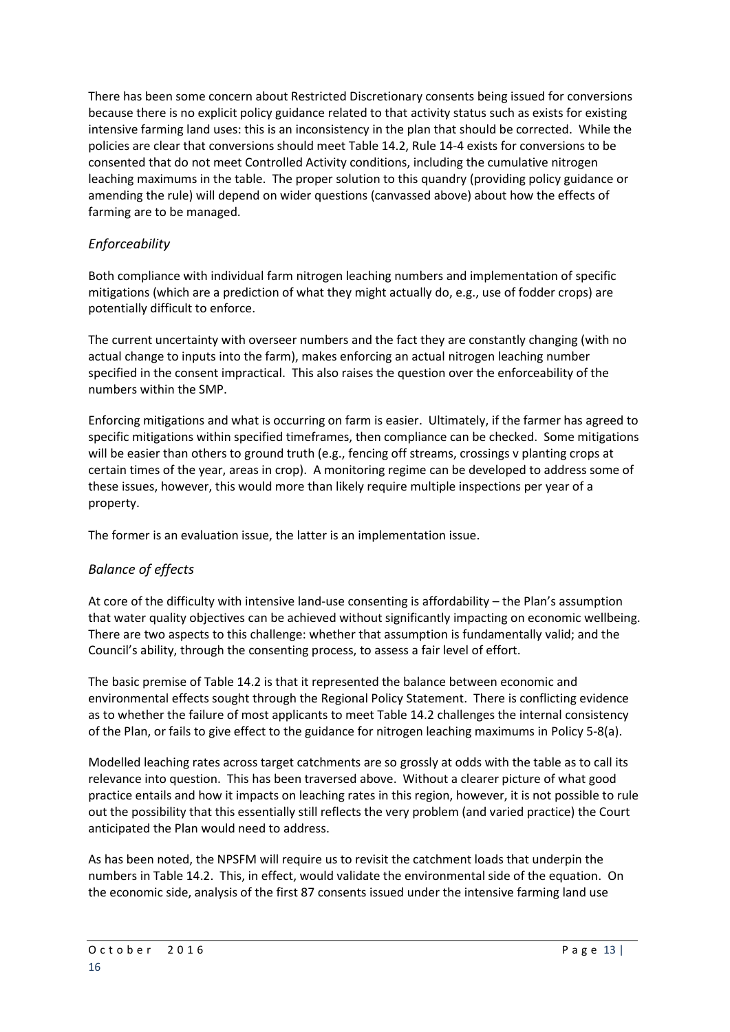There has been some concern about Restricted Discretionary consents being issued for conversions because there is no explicit policy guidance related to that activity status such as exists for existing intensive farming land uses: this is an inconsistency in the plan that should be corrected. While the policies are clear that conversions should meet Table 14.2, Rule 14-4 exists for conversions to be consented that do not meet Controlled Activity conditions, including the cumulative nitrogen leaching maximums in the table. The proper solution to this quandry (providing policy guidance or amending the rule) will depend on wider questions (canvassed above) about how the effects of farming are to be managed.

# *Enforceability*

Both compliance with individual farm nitrogen leaching numbers and implementation of specific mitigations (which are a prediction of what they might actually do, e.g., use of fodder crops) are potentially difficult to enforce.

The current uncertainty with overseer numbers and the fact they are constantly changing (with no actual change to inputs into the farm), makes enforcing an actual nitrogen leaching number specified in the consent impractical. This also raises the question over the enforceability of the numbers within the SMP.

Enforcing mitigations and what is occurring on farm is easier. Ultimately, if the farmer has agreed to specific mitigations within specified timeframes, then compliance can be checked. Some mitigations will be easier than others to ground truth (e.g., fencing off streams, crossings v planting crops at certain times of the year, areas in crop). A monitoring regime can be developed to address some of these issues, however, this would more than likely require multiple inspections per year of a property.

The former is an evaluation issue, the latter is an implementation issue.

# *Balance of effects*

At core of the difficulty with intensive land-use consenting is affordability – the Plan's assumption that water quality objectives can be achieved without significantly impacting on economic wellbeing. There are two aspects to this challenge: whether that assumption is fundamentally valid; and the Council's ability, through the consenting process, to assess a fair level of effort.

The basic premise of Table 14.2 is that it represented the balance between economic and environmental effects sought through the Regional Policy Statement. There is conflicting evidence as to whether the failure of most applicants to meet Table 14.2 challenges the internal consistency of the Plan, or fails to give effect to the guidance for nitrogen leaching maximums in Policy 5-8(a).

Modelled leaching rates across target catchments are so grossly at odds with the table as to call its relevance into question. This has been traversed above. Without a clearer picture of what good practice entails and how it impacts on leaching rates in this region, however, it is not possible to rule out the possibility that this essentially still reflects the very problem (and varied practice) the Court anticipated the Plan would need to address.

As has been noted, the NPSFM will require us to revisit the catchment loads that underpin the numbers in Table 14.2. This, in effect, would validate the environmental side of the equation. On the economic side, analysis of the first 87 consents issued under the intensive farming land use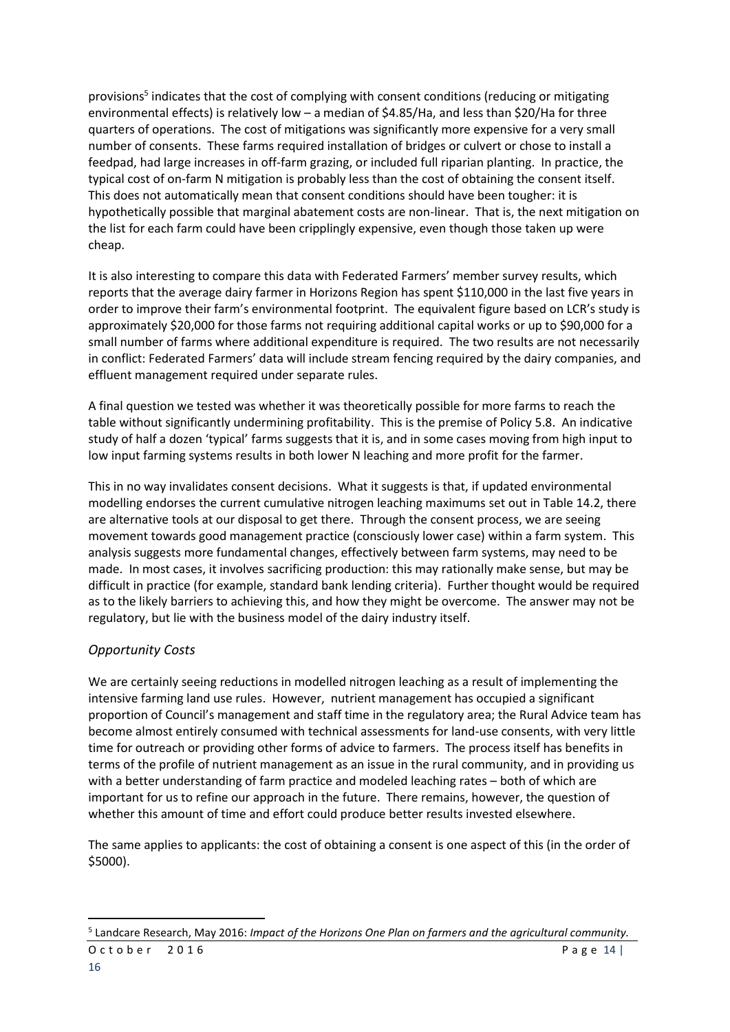provisions<sup>5</sup> indicates that the cost of complying with consent conditions (reducing or mitigating environmental effects) is relatively low – a median of \$4.85/Ha, and less than \$20/Ha for three quarters of operations. The cost of mitigations was significantly more expensive for a very small number of consents. These farms required installation of bridges or culvert or chose to install a feedpad, had large increases in off-farm grazing, or included full riparian planting. In practice, the typical cost of on-farm N mitigation is probably less than the cost of obtaining the consent itself. This does not automatically mean that consent conditions should have been tougher: it is hypothetically possible that marginal abatement costs are non-linear. That is, the next mitigation on the list for each farm could have been cripplingly expensive, even though those taken up were cheap.

It is also interesting to compare this data with Federated Farmers' member survey results, which reports that the average dairy farmer in Horizons Region has spent \$110,000 in the last five years in order to improve their farm's environmental footprint. The equivalent figure based on LCR's study is approximately \$20,000 for those farms not requiring additional capital works or up to \$90,000 for a small number of farms where additional expenditure is required. The two results are not necessarily in conflict: Federated Farmers' data will include stream fencing required by the dairy companies, and effluent management required under separate rules.

A final question we tested was whether it was theoretically possible for more farms to reach the table without significantly undermining profitability. This is the premise of Policy 5.8. An indicative study of half a dozen 'typical' farms suggests that it is, and in some cases moving from high input to low input farming systems results in both lower N leaching and more profit for the farmer.

This in no way invalidates consent decisions. What it suggests is that, if updated environmental modelling endorses the current cumulative nitrogen leaching maximums set out in Table 14.2, there are alternative tools at our disposal to get there. Through the consent process, we are seeing movement towards good management practice (consciously lower case) within a farm system. This analysis suggests more fundamental changes, effectively between farm systems, may need to be made. In most cases, it involves sacrificing production: this may rationally make sense, but may be difficult in practice (for example, standard bank lending criteria). Further thought would be required as to the likely barriers to achieving this, and how they might be overcome. The answer may not be regulatory, but lie with the business model of the dairy industry itself.

# *Opportunity Costs*

We are certainly seeing reductions in modelled nitrogen leaching as a result of implementing the intensive farming land use rules. However, nutrient management has occupied a significant proportion of Council's management and staff time in the regulatory area; the Rural Advice team has become almost entirely consumed with technical assessments for land-use consents, with very little time for outreach or providing other forms of advice to farmers. The process itself has benefits in terms of the profile of nutrient management as an issue in the rural community, and in providing us with a better understanding of farm practice and modeled leaching rates – both of which are important for us to refine our approach in the future. There remains, however, the question of whether this amount of time and effort could produce better results invested elsewhere.

The same applies to applicants: the cost of obtaining a consent is one aspect of this (in the order of \$5000).

**.** 

 $October$  2016 Page 14 5 Landcare Research, May 2016: *Impact of the Horizons One Plan on farmers and the agricultural community.*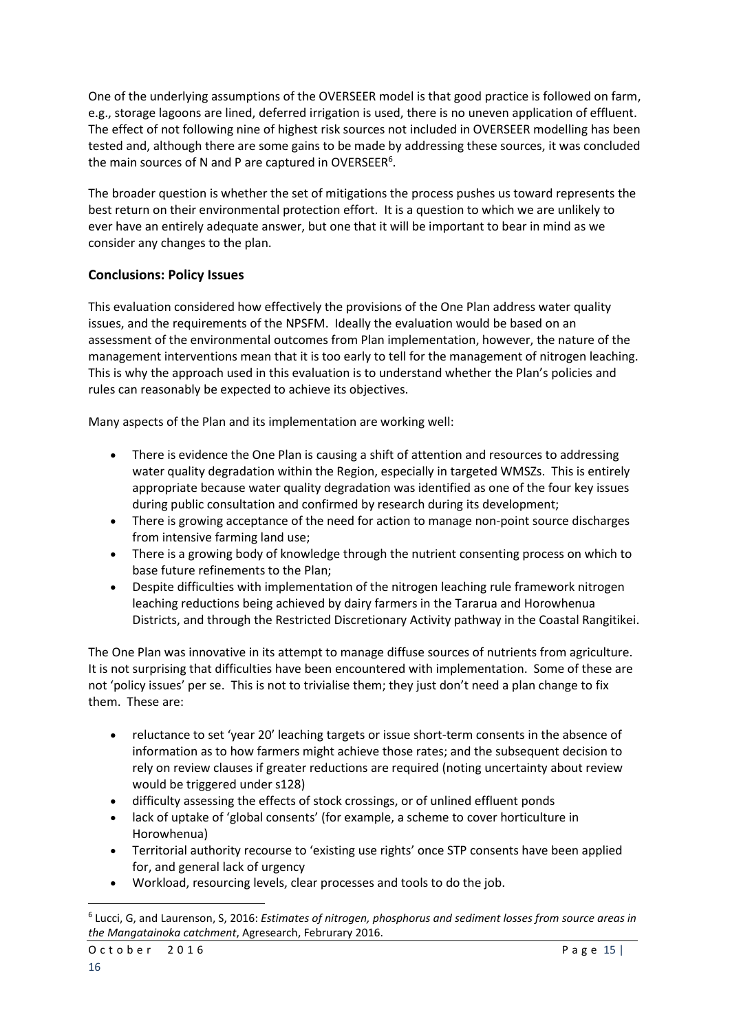One of the underlying assumptions of the OVERSEER model is that good practice is followed on farm, e.g., storage lagoons are lined, deferred irrigation is used, there is no uneven application of effluent. The effect of not following nine of highest risk sources not included in OVERSEER modelling has been tested and, although there are some gains to be made by addressing these sources, it was concluded the main sources of N and P are captured in OVERSEER<sup>6</sup>.

The broader question is whether the set of mitigations the process pushes us toward represents the best return on their environmental protection effort. It is a question to which we are unlikely to ever have an entirely adequate answer, but one that it will be important to bear in mind as we consider any changes to the plan.

# **Conclusions: Policy Issues**

This evaluation considered how effectively the provisions of the One Plan address water quality issues, and the requirements of the NPSFM. Ideally the evaluation would be based on an assessment of the environmental outcomes from Plan implementation, however, the nature of the management interventions mean that it is too early to tell for the management of nitrogen leaching. This is why the approach used in this evaluation is to understand whether the Plan's policies and rules can reasonably be expected to achieve its objectives.

Many aspects of the Plan and its implementation are working well:

- There is evidence the One Plan is causing a shift of attention and resources to addressing water quality degradation within the Region, especially in targeted WMSZs. This is entirely appropriate because water quality degradation was identified as one of the four key issues during public consultation and confirmed by research during its development;
- There is growing acceptance of the need for action to manage non-point source discharges from intensive farming land use;
- There is a growing body of knowledge through the nutrient consenting process on which to base future refinements to the Plan;
- Despite difficulties with implementation of the nitrogen leaching rule framework nitrogen leaching reductions being achieved by dairy farmers in the Tararua and Horowhenua Districts, and through the Restricted Discretionary Activity pathway in the Coastal Rangitikei.

The One Plan was innovative in its attempt to manage diffuse sources of nutrients from agriculture. It is not surprising that difficulties have been encountered with implementation. Some of these are not 'policy issues' per se. This is not to trivialise them; they just don't need a plan change to fix them. These are:

- reluctance to set 'year 20' leaching targets or issue short-term consents in the absence of information as to how farmers might achieve those rates; and the subsequent decision to rely on review clauses if greater reductions are required (noting uncertainty about review would be triggered under s128)
- difficulty assessing the effects of stock crossings, or of unlined effluent ponds
- lack of uptake of 'global consents' (for example, a scheme to cover horticulture in Horowhenua)
- Territorial authority recourse to 'existing use rights' once STP consents have been applied for, and general lack of urgency
- Workload, resourcing levels, clear processes and tools to do the job.

1

<sup>6</sup> Lucci, G, and Laurenson, S, 2016: *Estimates of nitrogen, phosphorus and sediment losses from source areas in the Mangatainoka catchment*, Agresearch, Februrary 2016.